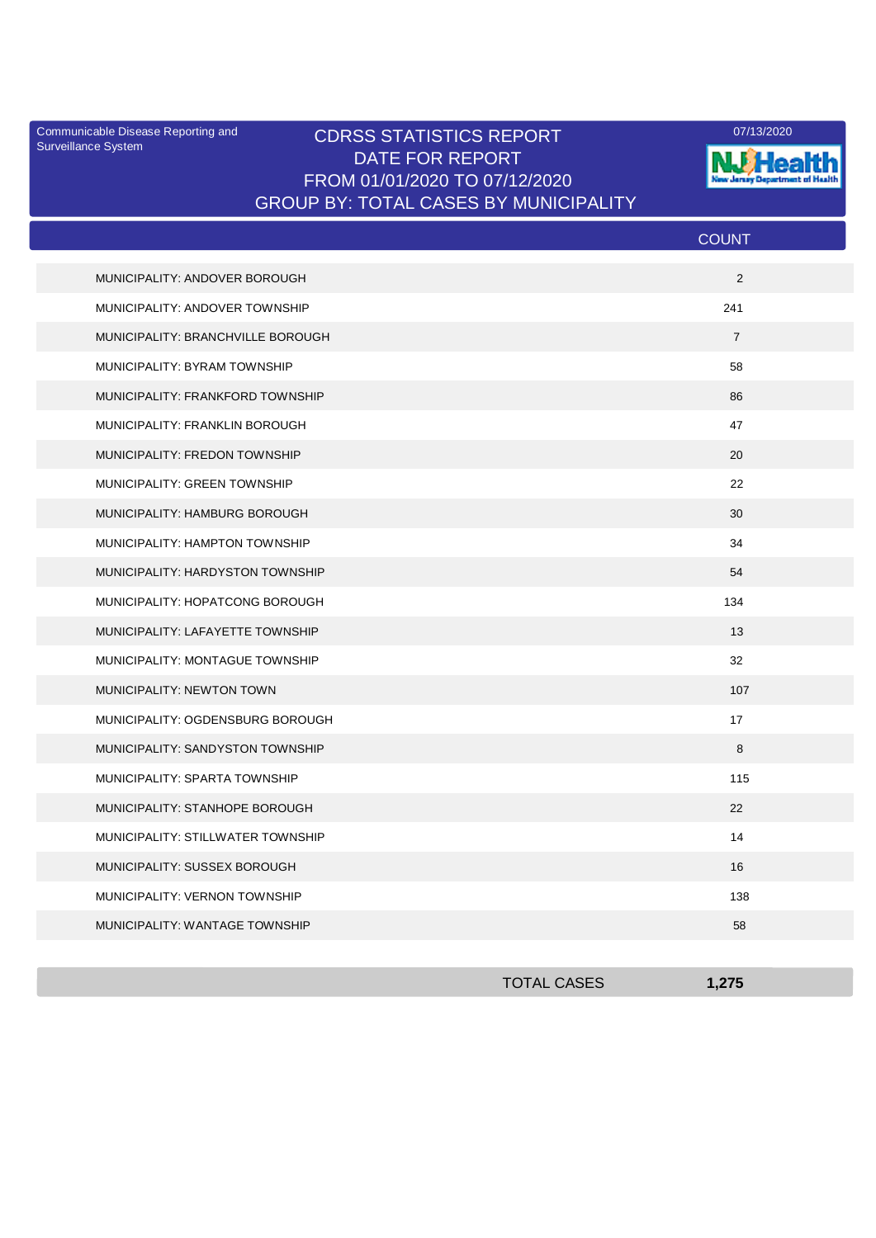Surveillance System

## Communicable Disease Reporting and **CDRSS STATISTICS REPORT** 2007/13/2020 DATE FOR REPORT FROM 01/01/2020 TO 07/12/2020 GROUP BY: TOTAL CASES BY MUNICIPALITY



|                                   | <b>COUNT</b>   |
|-----------------------------------|----------------|
| MUNICIPALITY: ANDOVER BOROUGH     | 2              |
| MUNICIPALITY: ANDOVER TOWNSHIP    | 241            |
| MUNICIPALITY: BRANCHVILLE BOROUGH | $\overline{7}$ |
| MUNICIPALITY: BYRAM TOWNSHIP      | 58             |
| MUNICIPALITY: FRANKFORD TOWNSHIP  | 86             |
| MUNICIPALITY: FRANKLIN BOROUGH    | 47             |
| MUNICIPALITY: FREDON TOWNSHIP     | 20             |
| MUNICIPALITY: GREEN TOWNSHIP      | 22             |
| MUNICIPALITY: HAMBURG BOROUGH     | 30             |
| MUNICIPALITY: HAMPTON TOWNSHIP    | 34             |
| MUNICIPALITY: HARDYSTON TOWNSHIP  | 54             |
| MUNICIPALITY: HOPATCONG BOROUGH   | 134            |
| MUNICIPALITY: LAFAYETTE TOWNSHIP  | 13             |
| MUNICIPALITY: MONTAGUE TOWNSHIP   | 32             |
| MUNICIPALITY: NEWTON TOWN         | 107            |
| MUNICIPALITY: OGDENSBURG BOROUGH  | 17             |
| MUNICIPALITY: SANDYSTON TOWNSHIP  | 8              |
| MUNICIPALITY: SPARTA TOWNSHIP     | 115            |
| MUNICIPALITY: STANHOPE BOROUGH    | 22             |
| MUNICIPALITY: STILLWATER TOWNSHIP | 14             |
| MUNICIPALITY: SUSSEX BOROUGH      | 16             |
| MUNICIPALITY: VERNON TOWNSHIP     | 138            |
| MUNICIPALITY: WANTAGE TOWNSHIP    | 58             |

| <b>TOTAL CASES</b> | 1,275 |
|--------------------|-------|
|                    |       |